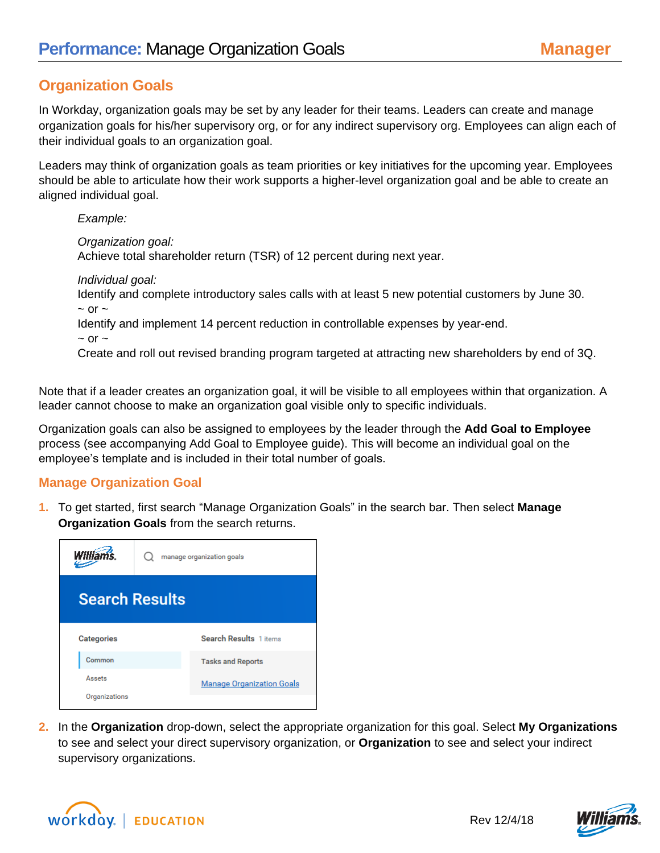## **Organization Goals**

In Workday, organization goals may be set by any leader for their teams. Leaders can create and manage organization goals for his/her supervisory org, or for any indirect supervisory org. Employees can align each of their individual goals to an organization goal.

Leaders may think of organization goals as team priorities or key initiatives for the upcoming year. Employees should be able to articulate how their work supports a higher-level organization goal and be able to create an aligned individual goal.

*Example:*

*Organization goal:*  Achieve total shareholder return (TSR) of 12 percent during next year.

*Individual goal:* 

Identify and complete introductory sales calls with at least 5 new potential customers by June 30.  $\sim$  or  $\sim$ 

Identify and implement 14 percent reduction in controllable expenses by year-end.

 $~\sim$  or  $~\sim$ 

Create and roll out revised branding program targeted at attracting new shareholders by end of 3Q.

Note that if a leader creates an organization goal, it will be visible to all employees within that organization. A leader cannot choose to make an organization goal visible only to specific individuals.

Organization goals can also be assigned to employees by the leader through the **Add Goal to Employee**  process (see accompanying Add Goal to Employee guide). This will become an individual goal on the employee's template and is included in their total number of goals.

## **Manage Organization Goal**

**1.** To get started, first search "Manage Organization Goals" in the search bar. Then select **Manage Organization Goals** from the search returns.



**2.** In the **Organization** drop-down, select the appropriate organization for this goal. Select **My Organizations** to see and select your direct supervisory organization, or **Organization** to see and select your indirect supervisory organizations.





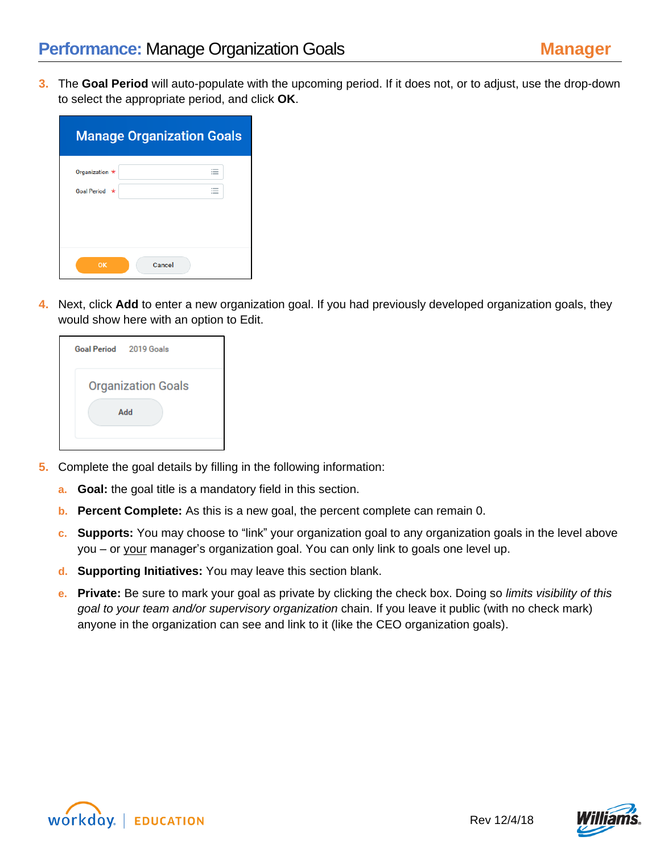**3.** The **Goal Period** will auto-populate with the upcoming period. If it does not, or to adjust, use the drop-down to select the appropriate period, and click **OK**.

|                | <b>Manage Organization Goals</b>   |  |  |
|----------------|------------------------------------|--|--|
| Organization * | $\overline{\phantom{a}}$           |  |  |
| Goal Period *  | $\overline{\phantom{a}}$<br>$\sim$ |  |  |
|                |                                    |  |  |
|                |                                    |  |  |
| OK             | Cancel                             |  |  |

**4.** Next, click **Add** to enter a new organization goal. If you had previously developed organization goals, they would show here with an option to Edit.

| Goal Period 2019 Goals    |     |  |
|---------------------------|-----|--|
| <b>Organization Goals</b> |     |  |
|                           | Add |  |
|                           |     |  |

- **5.** Complete the goal details by filling in the following information:
	- **a. Goal:** the goal title is a mandatory field in this section.
	- **b. Percent Complete:** As this is a new goal, the percent complete can remain 0.
	- **c. Supports:** You may choose to "link" your organization goal to any organization goals in the level above you – or your manager's organization goal. You can only link to goals one level up.
	- **d. Supporting Initiatives:** You may leave this section blank.
	- **e. Private:** Be sure to mark your goal as private by clicking the check box. Doing so *limits visibility of this goal to your team and/or supervisory organization* chain. If you leave it public (with no check mark) anyone in the organization can see and link to it (like the CEO organization goals).